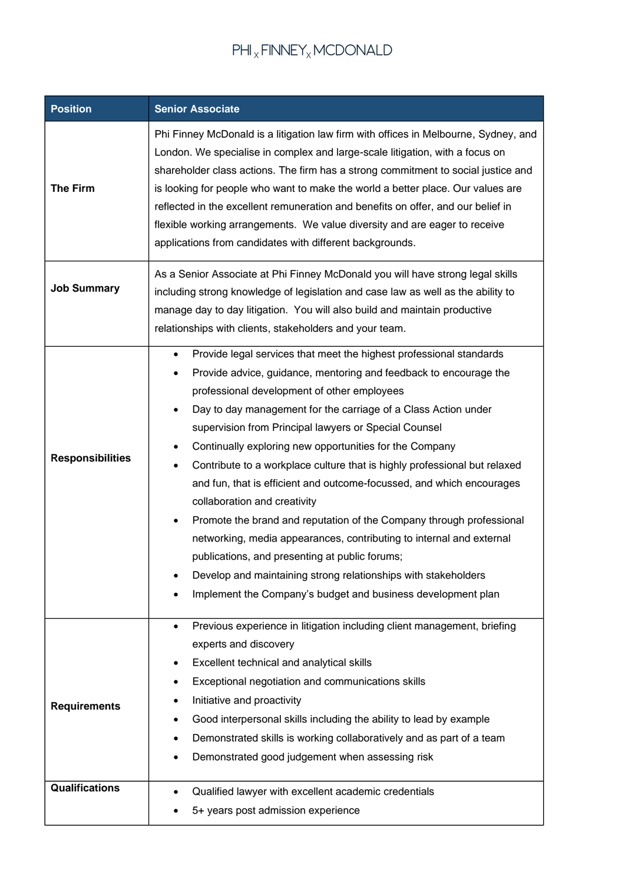## $\mathsf{PHI}_X \mathsf{FINNEY}_X \mathsf{MCDONALD}$

| <b>Position</b>         | <b>Senior Associate</b>                                                                                                                                                                                                                                                                                                                                                                                                                                                                                                                                                                                                                                                                                                                                                                                                                                                                                                                                                               |  |  |
|-------------------------|---------------------------------------------------------------------------------------------------------------------------------------------------------------------------------------------------------------------------------------------------------------------------------------------------------------------------------------------------------------------------------------------------------------------------------------------------------------------------------------------------------------------------------------------------------------------------------------------------------------------------------------------------------------------------------------------------------------------------------------------------------------------------------------------------------------------------------------------------------------------------------------------------------------------------------------------------------------------------------------|--|--|
| <b>The Firm</b>         | Phi Finney McDonald is a litigation law firm with offices in Melbourne, Sydney, and<br>London. We specialise in complex and large-scale litigation, with a focus on<br>shareholder class actions. The firm has a strong commitment to social justice and<br>is looking for people who want to make the world a better place. Our values are<br>reflected in the excellent remuneration and benefits on offer, and our belief in<br>flexible working arrangements. We value diversity and are eager to receive<br>applications from candidates with different backgrounds.                                                                                                                                                                                                                                                                                                                                                                                                             |  |  |
| <b>Job Summary</b>      | As a Senior Associate at Phi Finney McDonald you will have strong legal skills<br>including strong knowledge of legislation and case law as well as the ability to<br>manage day to day litigation. You will also build and maintain productive<br>relationships with clients, stakeholders and your team.                                                                                                                                                                                                                                                                                                                                                                                                                                                                                                                                                                                                                                                                            |  |  |
| <b>Responsibilities</b> | Provide legal services that meet the highest professional standards<br>$\bullet$<br>Provide advice, guidance, mentoring and feedback to encourage the<br>$\bullet$<br>professional development of other employees<br>Day to day management for the carriage of a Class Action under<br>$\bullet$<br>supervision from Principal lawyers or Special Counsel<br>Continually exploring new opportunities for the Company<br>$\bullet$<br>Contribute to a workplace culture that is highly professional but relaxed<br>$\bullet$<br>and fun, that is efficient and outcome-focussed, and which encourages<br>collaboration and creativity<br>Promote the brand and reputation of the Company through professional<br>$\bullet$<br>networking, media appearances, contributing to internal and external<br>publications, and presenting at public forums;<br>Develop and maintaining strong relationships with stakeholders<br>Implement the Company's budget and business development plan |  |  |
| <b>Requirements</b>     | Previous experience in litigation including client management, briefing<br>$\bullet$<br>experts and discovery<br>Excellent technical and analytical skills<br>٠<br>Exceptional negotiation and communications skills<br>Initiative and proactivity<br>Good interpersonal skills including the ability to lead by example<br>Demonstrated skills is working collaboratively and as part of a team<br>Demonstrated good judgement when assessing risk                                                                                                                                                                                                                                                                                                                                                                                                                                                                                                                                   |  |  |
| <b>Qualifications</b>   | Qualified lawyer with excellent academic credentials<br>5+ years post admission experience                                                                                                                                                                                                                                                                                                                                                                                                                                                                                                                                                                                                                                                                                                                                                                                                                                                                                            |  |  |